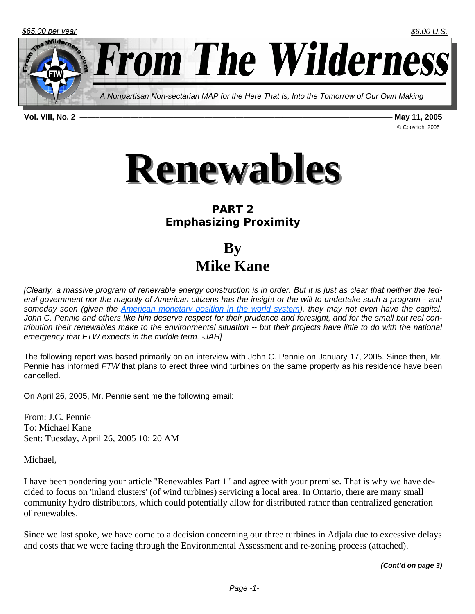

Milde rom The Wilderness *A Nonpartisan Non-sectarian MAP for the Here That Is, Into the Tomorrow of Our Own Making* 

**Vol. VIII, No. 2 ——–—————–———————————————————–—–——–—————–——— May 11, 2005** 

© Copyright 2005



## **PART 2 Emphasizing Proximity**

**By Mike Kane** 

*[Clearly, a massive program of renewable energy construction is in order. But it is just as clear that neither the federal government nor the majority of American citizens has the insight or the will to undertake such a program - and someday soon (given the American monetary position in the world system), they may not even have the capital. John C. Pennie and others like him deserve respect for their prudence and foresight, and for the small but real contribution their renewables make to the environmental situation -- but their projects have little to do with the national emergency that FTW expects in the middle term. -JAH]*

The following report was based primarily on an interview with John C. Pennie on January 17, 2005. Since then, Mr. Pennie has informed *FTW* that plans to erect three wind turbines on the same property as his residence have been cancelled.

On April 26, 2005, Mr. Pennie sent me the following email:

From: J.C. Pennie To: Michael Kane Sent: Tuesday, April 26, 2005 10: 20 AM

Michael,

I have been pondering your article "Renewables Part 1" and agree with your premise. That is why we have decided to focus on 'inland clusters' (of wind turbines) servicing a local area. In Ontario, there are many small community hydro distributors, which could potentially allow for distributed rather than centralized generation of renewables.

Since we last spoke, we have come to a decision concerning our three turbines in Adjala due to excessive delays and costs that we were facing through the Environmental Assessment and re-zoning process (attached).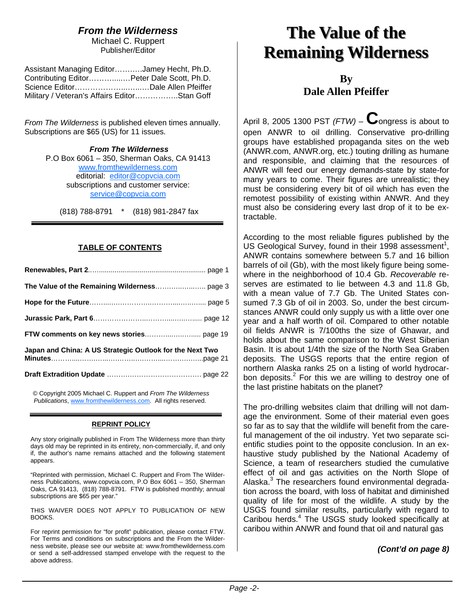### *From the Wilderness*

Michael C. Ruppert Publisher/Editor

| Assistant Managing EditorJamey Hecht, Ph.D.  |  |
|----------------------------------------------|--|
| Contributing EditorPeter Dale Scott, Ph.D.   |  |
|                                              |  |
| Military / Veteran's Affairs EditorStan Goff |  |

*From The Wilderness* is published eleven times annually. Subscriptions are \$65 (US) for 11 issues.

> *From The Wilderness*  P.O Box 6061 – 350, Sherman Oaks, CA 91413 www.fromthewilderness.com editorial: editor@copvcia.com subscriptions and customer service: service@copvcia.com

(818) 788-8791 \* (818) 981-2847 fax

#### **TABLE OF CONTENTS**

| Japan and China: A US Strategic Outlook for the Next Two |
|----------------------------------------------------------|
|                                                          |

© Copyright 2005 Michael C. Ruppert and *From The Wilderness Publications*, www.fromthewilderness.com. All rights reserved.

#### **REPRINT POLICY**

Any story originally published in From The Wilderness more than thirty days old may be reprinted in its entirety, non-commercially, if, and only if, the author's name remains attached and the following statement appears.

"Reprinted with permission, Michael C. Ruppert and From The Wilderness Publications, www.copvcia.com, P.O Box 6061 – 350, Sherman Oaks, CA 91413, (818) 788-8791. FTW is published monthly; annual subscriptions are \$65 per year."

THIS WAIVER DOES NOT APPLY TO PUBLICATION OF NEW BOOKS.

For reprint permission for "for profit" publication, please contact FTW. For Terms and conditions on subscriptions and the From the Wilderness website, please see our website at: www.fromthewilderness.com or send a self-addressed stamped envelope with the request to the above address.

# **The Value of the The Value of the Remaining Wilderness Remaining Wilderness**

**By Dale Allen Pfeiffer** 

April 8, 2005 1300 PST *(FTW)* – **C**ongress is about to open ANWR to oil drilling. Conservative pro-drilling groups have established propaganda sites on the web (ANWR.com, ANWR.org, etc.) touting drilling as humane and responsible, and claiming that the resources of ANWR will feed our energy demands-state by state-for many years to come. Their figures are unrealistic; they must be considering every bit of oil which has even the remotest possibility of existing within ANWR. And they must also be considering every last drop of it to be extractable.

According to the most reliable figures published by the US Geological Survey, found in their 1998 assessment<sup>1</sup>, ANWR contains somewhere between 5.7 and 16 billion barrels of oil (Gb), with the most likely figure being somewhere in the neighborhood of 10.4 Gb. *Recoverable* reserves are estimated to lie between 4.3 and 11.8 Gb, with a mean value of 7.7 Gb. The United States consumed 7.3 Gb of oil in 2003. So, under the best circumstances ANWR could only supply us with a little over one year and a half worth of oil. Compared to other notable oil fields ANWR is 7/100ths the size of Ghawar, and holds about the same comparison to the West Siberian Basin. It is about 1/4th the size of the North Sea Graben deposits. The USGS reports that the entire region of northern Alaska ranks 25 on a listing of world hydrocarbon deposits. $2$  For this we are willing to destroy one of the last pristine habitats on the planet?

The pro-drilling websites claim that drilling will not damage the environment. Some of their material even goes so far as to say that the wildlife will benefit from the careful management of the oil industry. Yet two separate scientific studies point to the opposite conclusion. In an exhaustive study published by the National Academy of Science, a team of researchers studied the cumulative effect of oil and gas activities on the North Slope of Alaska.<sup>3</sup> The researchers found environmental degradation across the board, with loss of habitat and diminished quality of life for most of the wildlife. A study by the USGS found similar results, particularly with regard to Caribou herds.<sup>4</sup> The USGS study looked specifically at caribou within ANWR and found that oil and natural gas

*(Cont'd on page 8)*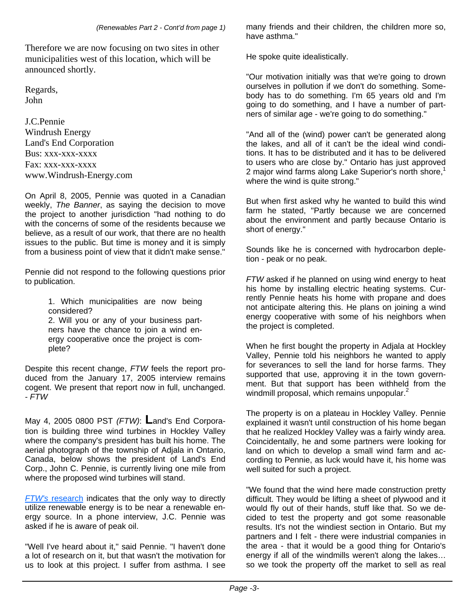Therefore we are now focusing on two sites in other municipalities west of this location, which will be announced shortly.

Regards, John

J.C.Pennie Windrush Energy Land's End Corporation Bus: xxx-xxx-xxxx Fax: xxx-xxx-xxxx www.Windrush-Energy.com

On April 8, 2005, Pennie was quoted in a Canadian weekly, *The Banner*, as saying the decision to move the project to another jurisdiction "had nothing to do with the concerns of some of the residents because we believe, as a result of our work, that there are no health issues to the public. But time is money and it is simply from a business point of view that it didn't make sense."

Pennie did not respond to the following questions prior to publication.

> 1. Which municipalities are now being considered?

> 2. Will you or any of your business partners have the chance to join a wind energy cooperative once the project is complete?

Despite this recent change, *FTW* feels the report produced from the January 17, 2005 interview remains cogent. We present that report now in full, unchanged. - *FTW*

May 4, 2005 0800 PST *(FTW)*: **L**and's End Corporation is building three wind turbines in Hockley Valley where the company's president has built his home. The aerial photograph of the township of Adjala in Ontario, Canada, below shows the president of Land's End Corp., John C. Pennie, is currently living one mile from where the proposed wind turbines will stand.

*FTW's* research indicates that the only way to directly utilize renewable energy is to be near a renewable energy source. In a phone interview, J.C. Pennie was asked if he is aware of peak oil.

"Well I've heard about it," said Pennie. "I haven't done a lot of research on it, but that wasn't the motivation for us to look at this project. I suffer from asthma. I see

many friends and their children, the children more so, have asthma."

He spoke quite idealistically.

"Our motivation initially was that we're going to drown ourselves in pollution if we don't do something. Somebody has to do something. I'm 65 years old and I'm going to do something, and I have a number of partners of similar age - we're going to do something."

"And all of the (wind) power can't be generated along the lakes, and all of it can't be the ideal wind conditions. It has to be distributed and it has to be delivered to users who are close by." Ontario has just approved 2 maior wind farms along Lake Superior's north shore,<sup>1</sup> where the wind is quite strong."

But when first asked why he wanted to build this wind farm he stated, "Partly because we are concerned about the environment and partly because Ontario is short of energy."

Sounds like he is concerned with hydrocarbon depletion - peak or no peak.

*FTW* asked if he planned on using wind energy to heat his home by installing electric heating systems. Currently Pennie heats his home with propane and does not anticipate altering this. He plans on joining a wind energy cooperative with some of his neighbors when the project is completed.

When he first bought the property in Adjala at Hockley Valley, Pennie told his neighbors he wanted to apply for severances to sell the land for horse farms. They supported that use, approving it in the town government. But that support has been withheld from the windmill proposal, which remains unpopular.<sup>2</sup>

The property is on a plateau in Hockley Valley. Pennie explained it wasn't until construction of his home began that he realized Hockley Valley was a fairly windy area. Coincidentally, he and some partners were looking for land on which to develop a small wind farm and according to Pennie, as luck would have it, his home was well suited for such a project.

"We found that the wind here made construction pretty difficult. They would be lifting a sheet of plywood and it would fly out of their hands, stuff like that. So we decided to test the property and got some reasonable results. It's not the windiest section in Ontario. But my partners and I felt - there were industrial companies in the area - that it would be a good thing for Ontario's energy if all of the windmills weren't along the lakes… so we took the property off the market to sell as real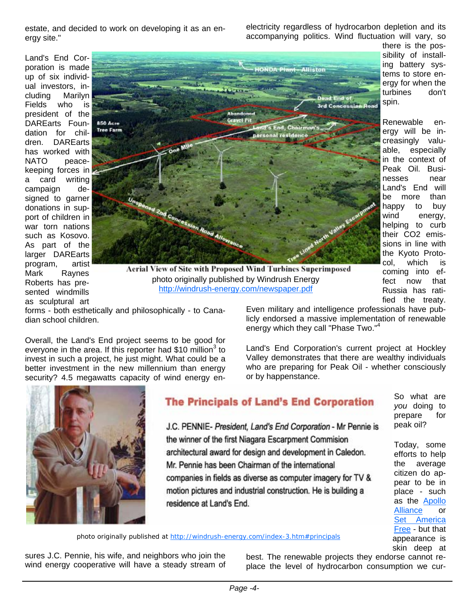estate, and decided to work on developing it as an energy site."

electricity regardless of hydrocarbon depletion and its accompanying politics. Wind fluctuation will vary, so

Land's End Corporation is made up of six individual investors, including Marilyn Fields who is president of the DAREarts Foundation for children. DAREarts has worked with NATO peacekeeping forces in a card writing campaign designed to garner donations in support of children in war torn nations such as Kosovo. As part of the larger DAREarts program, artist Mark Raynes Roberts has presented windmills as sculptural art



**Aerial View of Site with Proposed Wind Turbines Superimposed** photo originally published by Windrush Energy http://windrush-energy.com/newspaper.pdf

forms - both esthetically and philosophically - to Canadian school children.

Overall, the Land's End project seems to be good for everyone in the area. If this reporter had \$10 million<sup>3</sup> to invest in such a project, he just might. What could be a better investment in the new millennium than energy security? 4.5 megawatts capacity of wind energy en-



Land's End Corporation's current project at Hockley Valley demonstrates that there are wealthy individuals who are preparing for Peak Oil - whether consciously or by happenstance.



## **The Principals of Land's End Corporation**

J.C. PENNIE- President, Land's End Corporation - Mr Pennie is the winner of the first Niagara Escarpment Commision architectural award for design and development in Caledon. Mr. Pennie has been Chairman of the international companies in fields as diverse as computer imagery for TV & motion pictures and industrial construction. He is building a residence at Land's End.

photo originally published at http://windrush-energy.com/index-3.htm#principals

sures J.C. Pennie, his wife, and neighbors who join the wind energy cooperative will have a steady stream of best. The renewable projects they endorse cannot replace the level of hydrocarbon consumption we cur-

there is the possibility of installing battery systems to store energy for when the turbines don't spin.

Renewable energy will be increasingly valuable, especially in the context of Peak Oil. Businesses near Land's End will be more than happy to buy wind energy, helping to curb their CO2 emissions in line with the Kyoto Protocol, which is coming into effect now that Russia has ratified the treaty.

> So what are *you* doing to prepare for peak oil?

Today, some efforts to help the average citizen do appear to be in place - such as the Apollo Alliance or Set America Free - but that appearance is skin deep at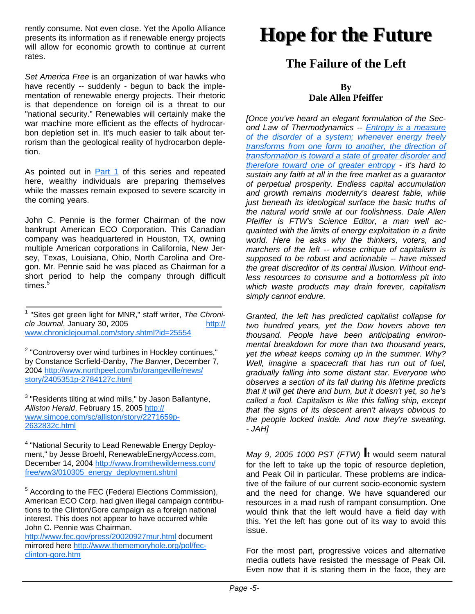rently consume. Not even close. Yet the Apollo Alliance presents its information as if renewable energy projects will allow for economic growth to continue at current rates.

*Set America Free* is an organization of war hawks who have recently -- suddenly - begun to back the implementation of renewable energy projects. Their rhetoric is that dependence on foreign oil is a threat to our "national security." Renewables will certainly make the war machine more efficient as the effects of hydrocarbon depletion set in. It's much easier to talk about terrorism than the geological reality of hydrocarbon depletion.

As pointed out in Part 1 of this series and repeated here, wealthy individuals are preparing themselves while the masses remain exposed to severe scarcity in the coming years.

John C. Pennie is the former Chairman of the now bankrupt American ECO Corporation. This Canadian company was headquartered in Houston, TX, owning multiple American corporations in California, New Jersey, Texas, Louisiana, Ohio, North Carolina and Oregon. Mr. Pennie said he was placed as Chairman for a short period to help the company through difficult times.<sup>5</sup>

<sup>1</sup> "Sites get green light for MNR," staff writer, The Chroni*cle Journal*, January 30, 2005 www.chroniclejournal.com/story.shtml?id=25554

<sup>2</sup> "Controversy over wind turbines in Hockley continues," by Constance Scrfield-Danby, *The Banner*, December 7, 2004 http://www.northpeel.com/br/orangeville/news/ story/2405351p-2784127c.html

 $3$  "Residents tilting at wind mills," by Jason Ballantyne, *Alliston Herald*, February 15, 2005 http:// www.simcoe.com/sc/alliston/story/2271659p-2632832c.html

<sup>4</sup> "National Security to Lead Renewable Energy Deployment," by Jesse Broehl, RenewableEnergyAccess.com, December 14, 2004 http://www.fromthewilderness.com/ free/ww3/010305\_energy\_deployment.shtml

<sup>5</sup> According to the FEC (Federal Elections Commission), American ECO Corp. had given illegal campaign contributions to the Clinton/Gore campaign as a foreign national interest. This does not appear to have occurred while John C. Pennie was Chairman.

http://www.fec.gov/press/20020927mur.html document mirrored here http://www.thememoryhole.org/pol/fecclinton-gore.htm

# **Hope for the Future Hope for the Future**

## **The Failure of the Left**

#### **By Dale Allen Pfeiffer**

*[Once you've heard an elegant formulation of the Second Law of Thermodynamics -- Entropy is a measure of the disorder of a system; whenever energy freely transforms from one form to another, the direction of transformation is toward a state of greater disorder and therefore toward one of greater entropy - it's hard to sustain any faith at all in the free market as a guarantor of perpetual prosperity. Endless capital accumulation and growth remains modernity's dearest fable, while just beneath its ideological surface the basic truths of the natural world smile at our foolishness. Dale Allen Pfeiffer is FTW's Science Editor, a man well acquainted with the limits of energy exploitation in a finite world. Here he asks why the thinkers, voters, and marchers of the left -- whose critique of capitalism is supposed to be robust and actionable -- have missed the great discreditor of its central illusion. Without endless resources to consume and a bottomless pit into which waste products may drain forever, capitalism simply cannot endure.*

*Granted, the left has predicted capitalist collapse for two hundred years, yet the Dow hovers above ten thousand. People have been anticipating environmental breakdown for more than two thousand years, yet the wheat keeps coming up in the summer. Why? Well, imagine a spacecraft that has run out of fuel, gradually falling into some distant star. Everyone who observes a section of its fall during his lifetime predicts that it will get there and burn, but it doesn't yet, so he's called a fool. Capitalism is like this falling ship, except that the signs of its descent aren't always obvious to the people locked inside. And now they're sweating. - JAH]*

*May 9, 2005 1000 PST (FTW)* **I**t would seem natural for the left to take up the topic of resource depletion, and Peak Oil in particular. These problems are indicative of the failure of our current socio-economic system and the need for change. We have squandered our resources in a mad rush of rampant consumption. One would think that the left would have a field day with this. Yet the left has gone out of its way to avoid this issue.

For the most part, progressive voices and alternative media outlets have resisted the message of Peak Oil. Even now that it is staring them in the face, they are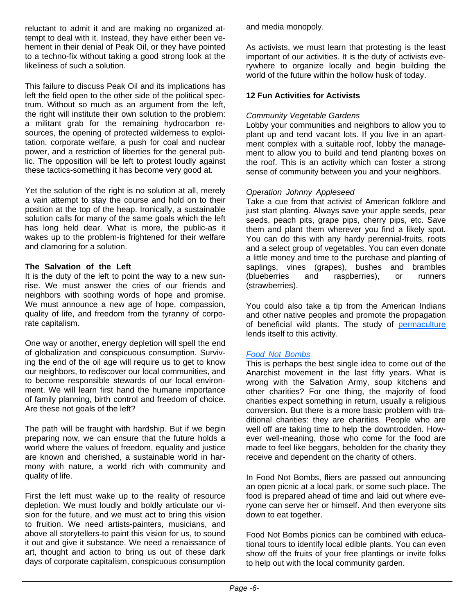reluctant to admit it and are making no organized attempt to deal with it. Instead, they have either been vehement in their denial of Peak Oil, or they have pointed to a techno-fix without taking a good strong look at the likeliness of such a solution.

This failure to discuss Peak Oil and its implications has left the field open to the other side of the political spectrum. Without so much as an argument from the left, the right will institute their own solution to the problem: a militant grab for the remaining hydrocarbon resources, the opening of protected wilderness to exploitation, corporate welfare, a push for coal and nuclear power, and a restriction of liberties for the general public. The opposition will be left to protest loudly against these tactics-something it has become very good at.

Yet the solution of the right is no solution at all, merely a vain attempt to stay the course and hold on to their position at the top of the heap. Ironically, a sustainable solution calls for many of the same goals which the left has long held dear. What is more, the public-as it wakes up to the problem-is frightened for their welfare and clamoring for a solution.

#### **The Salvation of the Left**

It is the duty of the left to point the way to a new sunrise. We must answer the cries of our friends and neighbors with soothing words of hope and promise. We must announce a new age of hope, compassion, quality of life, and freedom from the tyranny of corporate capitalism.

One way or another, energy depletion will spell the end of globalization and conspicuous consumption. Surviving the end of the oil age will require us to get to know our neighbors, to rediscover our local communities, and to become responsible stewards of our local environment. We will learn first hand the humane importance of family planning, birth control and freedom of choice. Are these not goals of the left?

The path will be fraught with hardship. But if we begin preparing now, we can ensure that the future holds a world where the values of freedom, equality and justice are known and cherished, a sustainable world in harmony with nature, a world rich with community and quality of life.

First the left must wake up to the reality of resource depletion. We must loudly and boldly articulate our vision for the future, and we must act to bring this vision to fruition. We need artists-painters, musicians, and above all storytellers-to paint this vision for us, to sound it out and give it substance. We need a renaissance of art, thought and action to bring us out of these dark days of corporate capitalism, conspicuous consumption and media monopoly.

As activists, we must learn that protesting is the least important of our activities. It is the duty of activists everywhere to organize locally and begin building the world of the future within the hollow husk of today.

#### **12 Fun Activities for Activists**

#### *Community Vegetable Gardens*

Lobby your communities and neighbors to allow you to plant up and tend vacant lots. If you live in an apartment complex with a suitable roof, lobby the management to allow you to build and tend planting boxes on the roof. This is an activity which can foster a strong sense of community between you and your neighbors.

#### *Operation Johnny Appleseed*

Take a cue from that activist of American folklore and just start planting. Always save your apple seeds, pear seeds, peach pits, grape pips, cherry pips, etc. Save them and plant them wherever you find a likely spot. You can do this with any hardy perennial-fruits, roots and a select group of vegetables. You can even donate a little money and time to the purchase and planting of saplings, vines (grapes), bushes and brambles (blueberries and raspberries), or runners (strawberries).

You could also take a tip from the American Indians and other native peoples and promote the propagation of beneficial wild plants. The study of permaculture lends itself to this activity.

#### *Food Not Bombs*

This is perhaps the best single idea to come out of the Anarchist movement in the last fifty years. What is wrong with the Salvation Army, soup kitchens and other charities? For one thing, the majority of food charities expect something in return, usually a religious conversion. But there is a more basic problem with traditional charities: they are charities. People who are well off are taking time to help the downtrodden. However well-meaning, those who come for the food are made to feel like beggars, beholden for the charity they receive and dependent on the charity of others.

In Food Not Bombs, fliers are passed out announcing an open picnic at a local park, or some such place. The food is prepared ahead of time and laid out where everyone can serve her or himself. And then everyone sits down to eat together.

Food Not Bombs picnics can be combined with educational tours to identify local edible plants. You can even show off the fruits of your free plantings or invite folks to help out with the local community garden.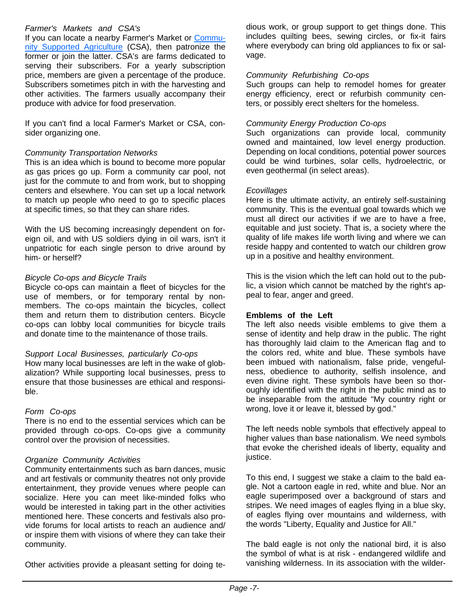#### *Farmer's Markets and CSA's*

If you can locate a nearby Farmer's Market or Community Supported Agriculture (CSA), then patronize the former or join the latter. CSA's are farms dedicated to serving their subscribers. For a yearly subscription price, members are given a percentage of the produce. Subscribers sometimes pitch in with the harvesting and other activities. The farmers usually accompany their produce with advice for food preservation.

If you can't find a local Farmer's Market or CSA, consider organizing one.

#### *Community Transportation Networks*

This is an idea which is bound to become more popular as gas prices go up. Form a community car pool, not just for the commute to and from work, but to shopping centers and elsewhere. You can set up a local network to match up people who need to go to specific places at specific times, so that they can share rides.

With the US becoming increasingly dependent on foreign oil, and with US soldiers dying in oil wars, isn't it unpatriotic for each single person to drive around by him- or herself?

#### *Bicycle Co-ops and Bicycle Trails*

Bicycle co-ops can maintain a fleet of bicycles for the use of members, or for temporary rental by nonmembers. The co-ops maintain the bicycles, collect them and return them to distribution centers. Bicycle co-ops can lobby local communities for bicycle trails and donate time to the maintenance of those trails.

#### *Support Local Businesses, particularly Co-ops*

How many local businesses are left in the wake of globalization? While supporting local businesses, press to ensure that those businesses are ethical and responsible.

#### *Form Co-ops*

There is no end to the essential services which can be provided through co-ops. Co-ops give a community control over the provision of necessities.

#### *Organize Community Activities*

Community entertainments such as barn dances, music and art festivals or community theatres not only provide entertainment, they provide venues where people can socialize. Here you can meet like-minded folks who would be interested in taking part in the other activities mentioned here. These concerts and festivals also provide forums for local artists to reach an audience and/ or inspire them with visions of where they can take their community.

Other activities provide a pleasant setting for doing te-

dious work, or group support to get things done. This includes quilting bees, sewing circles, or fix-it fairs where everybody can bring old appliances to fix or salvage.

#### *Community Refurbishing Co-ops*

Such groups can help to remodel homes for greater energy efficiency, erect or refurbish community centers, or possibly erect shelters for the homeless.

#### *Community Energy Production Co-ops*

Such organizations can provide local, community owned and maintained, low level energy production. Depending on local conditions, potential power sources could be wind turbines, solar cells, hydroelectric, or even geothermal (in select areas).

#### *Ecovillages*

Here is the ultimate activity, an entirely self-sustaining community. This is the eventual goal towards which we must all direct our activities if we are to have a free, equitable and just society. That is, a society where the quality of life makes life worth living and where we can reside happy and contented to watch our children grow up in a positive and healthy environment.

This is the vision which the left can hold out to the public, a vision which cannot be matched by the right's appeal to fear, anger and greed.

#### **Emblems of the Left**

The left also needs visible emblems to give them a sense of identity and help draw in the public. The right has thoroughly laid claim to the American flag and to the colors red, white and blue. These symbols have been imbued with nationalism, false pride, vengefulness, obedience to authority, selfish insolence, and even divine right. These symbols have been so thoroughly identified with the right in the public mind as to be inseparable from the attitude "My country right or wrong, love it or leave it, blessed by god."

The left needs noble symbols that effectively appeal to higher values than base nationalism. We need symbols that evoke the cherished ideals of liberty, equality and justice.

To this end, I suggest we stake a claim to the bald eagle. Not a cartoon eagle in red, white and blue. Nor an eagle superimposed over a background of stars and stripes. We need images of eagles flying in a blue sky, of eagles flying over mountains and wilderness, with the words "Liberty, Equality and Justice for All."

The bald eagle is not only the national bird, it is also the symbol of what is at risk - endangered wildlife and vanishing wilderness. In its association with the wilder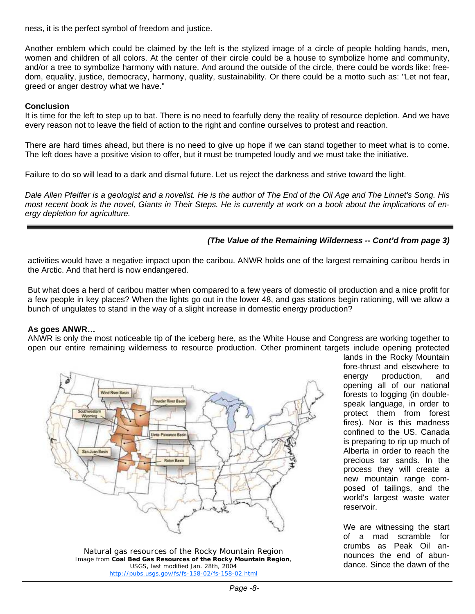ness, it is the perfect symbol of freedom and justice.

Another emblem which could be claimed by the left is the stylized image of a circle of people holding hands, men, women and children of all colors. At the center of their circle could be a house to symbolize home and community, and/or a tree to symbolize harmony with nature. And around the outside of the circle, there could be words like: freedom, equality, justice, democracy, harmony, quality, sustainability. Or there could be a motto such as: "Let not fear, greed or anger destroy what we have."

#### **Conclusion**

It is time for the left to step up to bat. There is no need to fearfully deny the reality of resource depletion. And we have every reason not to leave the field of action to the right and confine ourselves to protest and reaction.

There are hard times ahead, but there is no need to give up hope if we can stand together to meet what is to come. The left does have a positive vision to offer, but it must be trumpeted loudly and we must take the initiative.

Failure to do so will lead to a dark and dismal future. Let us reject the darkness and strive toward the light.

*Dale Allen Pfeiffer is a geologist and a novelist. He is the author of The End of the Oil Age and The Linnet's Song. His most recent book is the novel, Giants in Their Steps. He is currently at work on a book about the implications of energy depletion for agriculture.*

#### *(The Value of the Remaining Wilderness -- Cont'd from page 3)*

activities would have a negative impact upon the caribou. ANWR holds one of the largest remaining caribou herds in the Arctic. And that herd is now endangered.

But what does a herd of caribou matter when compared to a few years of domestic oil production and a nice profit for a few people in key places? When the lights go out in the lower 48, and gas stations begin rationing, will we allow a bunch of ungulates to stand in the way of a slight increase in domestic energy production?

#### **As goes ANWR…**

ANWR is only the most noticeable tip of the iceberg here, as the White House and Congress are working together to open our entire remaining wilderness to resource production. Other prominent targets include opening protected



*Natural gas resources of the Rocky Mountain Region* Image from **Coal Bed Gas Resources of the Rocky Mountain Region**, USGS, last modified Jan. 28th, 2004 http://pubs.usgs.gov/fs/fs-158-02/fs-158-02.html

lands in the Rocky Mountain fore-thrust and elsewhere to energy production, and opening all of our national forests to logging (in doublespeak language, in order to protect them from forest fires). Nor is this madness confined to the US. Canada is preparing to rip up much of Alberta in order to reach the precious tar sands. In the process they will create a new mountain range composed of tailings, and the world's largest waste water reservoir.

We are witnessing the start of a mad scramble for crumbs as Peak Oil announces the end of abundance. Since the dawn of the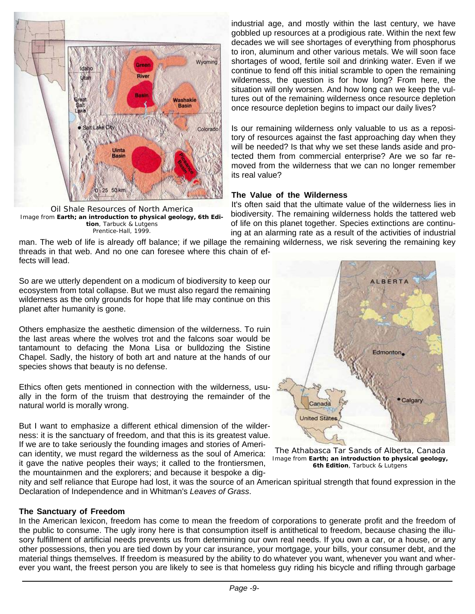

*Oil Shale Resources of North America* Image from **Earth; an introduction to physical geology, 6th Edition**, Tarbuck & Lutgens Prentice-Hall, 1999.

industrial age, and mostly within the last century, we have gobbled up resources at a prodigious rate. Within the next few decades we will see shortages of everything from phosphorus to iron, aluminum and other various metals. We will soon face shortages of wood, fertile soil and drinking water. Even if we continue to fend off this initial scramble to open the remaining wilderness, the question is for how long? From here, the situation will only worsen. And how long can we keep the vultures out of the remaining wilderness once resource depletion once resource depletion begins to impact our daily lives?

Is our remaining wilderness only valuable to us as a repository of resources against the fast approaching day when they will be needed? Is that why we set these lands aside and protected them from commercial enterprise? Are we so far removed from the wilderness that we can no longer remember its real value?

#### **The Value of the Wilderness**

It's often said that the ultimate value of the wilderness lies in biodiversity. The remaining wilderness holds the tattered web of life on this planet together. Species extinctions are continuing at an alarming rate as a result of the activities of industrial

man. The web of life is already off balance; if we pillage the remaining wilderness, we risk severing the remaining key threads in that web. And no one can foresee where this chain of effects will lead.

So are we utterly dependent on a modicum of biodiversity to keep our ecosystem from total collapse. But we must also regard the remaining wilderness as the only grounds for hope that life may continue on this planet after humanity is gone.

Others emphasize the aesthetic dimension of the wilderness. To ruin the last areas where the wolves trot and the falcons soar would be tantamount to defacing the Mona Lisa or bulldozing the Sistine Chapel. Sadly, the history of both art and nature at the hands of our species shows that beauty is no defense.

Ethics often gets mentioned in connection with the wilderness, usually in the form of the truism that destroying the remainder of the natural world is morally wrong.

But I want to emphasize a different ethical dimension of the wilderness: it is the sanctuary of freedom, and that this is its greatest value. If we are to take seriously the founding images and stories of American identity, we must regard the wilderness as the soul of America: it gave the native peoples their ways; it called to the frontiersmen, the mountainmen and the explorers; and because it bespoke a dig-



*The Athabasca Tar Sands of Alberta, Canada* Image from **Earth; an introduction to physical geology, 6th Edition**, Tarbuck & Lutgens

nity and self reliance that Europe had lost, it was the source of an American spiritual strength that found expression in the Declaration of Independence and in Whitman's *Leaves of Grass*.

#### **The Sanctuary of Freedom**

In the American lexicon, freedom has come to mean the freedom of corporations to generate profit and the freedom of the public to consume. The ugly irony here is that consumption itself is antithetical to freedom, because chasing the illusory fulfillment of artificial needs prevents us from determining our own real needs. If you own a car, or a house, or any other possessions, then you are tied down by your car insurance, your mortgage, your bills, your consumer debt, and the material things themselves. If freedom is measured by the ability to do whatever you want, whenever you want and wherever you want, the freest person you are likely to see is that homeless guy riding his bicycle and rifling through garbage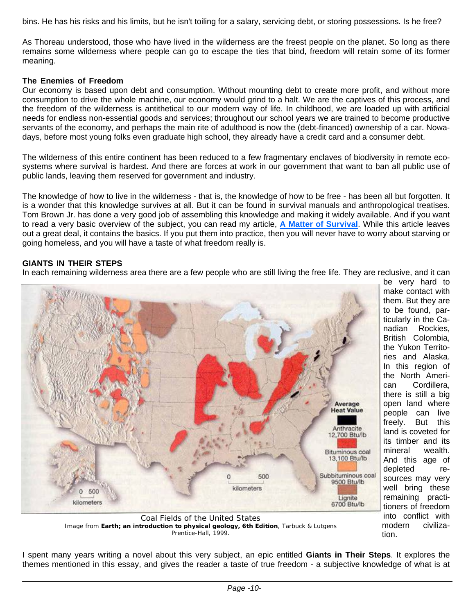bins. He has his risks and his limits, but he isn't toiling for a salary, servicing debt, or storing possessions. Is he free?

As Thoreau understood, those who have lived in the wilderness are the freest people on the planet. So long as there remains some wilderness where people can go to escape the ties that bind, freedom will retain some of its former meaning.

#### **The Enemies of Freedom**

Our economy is based upon debt and consumption. Without mounting debt to create more profit, and without more consumption to drive the whole machine, our economy would grind to a halt. We are the captives of this process, and the freedom of the wilderness is antithetical to our modern way of life. In childhood, we are loaded up with artificial needs for endless non-essential goods and services; throughout our school years we are trained to become productive servants of the economy, and perhaps the main rite of adulthood is now the (debt-financed) ownership of a car. Nowadays, before most young folks even graduate high school, they already have a credit card and a consumer debt.

The wilderness of this entire continent has been reduced to a few fragmentary enclaves of biodiversity in remote ecosystems where survival is hardest. And there are forces at work in our government that want to ban all public use of public lands, leaving them reserved for government and industry.

The knowledge of how to live in the wilderness - that is, the knowledge of how to be free - has been all but forgotten. It is a wonder that this knowledge survives at all. But it can be found in survival manuals and anthropological treatises. Tom Brown Jr. has done a very good job of assembling this knowledge and making it widely available. And if you want to read a very basic overview of the subject, you can read my article, **A Matter of Survival**. While this article leaves out a great deal, it contains the basics. If you put them into practice, then you will never have to worry about starving or going homeless, and you will have a taste of what freedom really is.

#### **GIANTS IN THEIR STEPS**

In each remaining wilderness area there are a few people who are still living the free life. They are reclusive, and it can



make contact with them. But they are to be found, particularly in the Canadian Rockies, British Colombia, the Yukon Territories and Alaska. In this region of the North American Cordillera, there is still a big open land where people can live freely. But this land is coveted for its timber and its mineral wealth. And this age of depleted resources may very well bring these remaining practitioners of freedom into conflict with modern civilization.

be very hard to

Image from **Earth; an introduction to physical geology, 6th Edition**, Tarbuck & Lutgens Prentice-Hall, 1999.

I spent many years writing a novel about this very subject, an epic entitled **Giants in Their Steps**. It explores the themes mentioned in this essay, and gives the reader a taste of true freedom - a subjective knowledge of what is at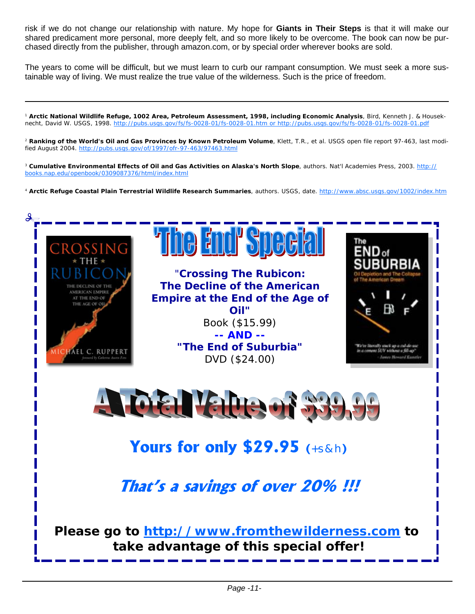risk if we do not change our relationship with nature. My hope for **Giants in Their Steps** is that it will make our shared predicament more personal, more deeply felt, and so more likely to be overcome. The book can now be purchased directly from the publisher, through amazon.com, or by special order wherever books are sold.

The years to come will be difficult, but we must learn to curb our rampant consumption. We must seek a more sustainable way of living. We must realize the true value of the wilderness. Such is the price of freedom.

<sup>1</sup> **Arctic National Wildlife Refuge, 1002 Area, Petroleum Assessment, 1998, including Economic Analysis**, Bird, Kenneth J. & Houseknecht, David W. USGS, 1998. http://pubs.usgs.gov/fs/fs-0028-01/fs-0028-01.htm or http://pubs.usgs.gov/fs/fs-0028-01/fs-0028-01.pdf

<sup>2</sup> **Ranking of the World's Oil and Gas Provinces by Known Petroleum Volume**, Klett, T.R., et al. USGS open file report 97-463, last modified August 2004. http://pubs.usgs.gov/of/1997/ofr-97-463/97463.html

<sup>3</sup> Cumulative Environmental Effects of Oil and Gas Activities on Alaska's North Slope, authors. Nat'l Academies Press, 2003. http:// books.nap.edu/openbook/0309087376/html/index.html

<sup>4</sup> **Arctic Refuge Coastal Plain Terrestrial Wildlife Research Summaries**, authors. USGS, date. http://www.absc.usgs.gov/1002/index.htm

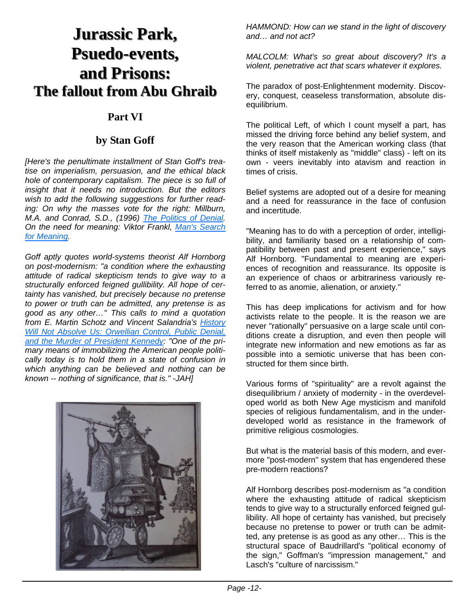# **Jurassic Park, Jurassic Park, Psuedo-events, events, and Prisons: and Prisons: The fallout from Abu Ghraib The fallout from Abu Ghraib**

## **Part VI**

### **by Stan Goff**

*[Here's the penultimate installment of Stan Goff's treatise on imperialism, persuasion, and the ethical black hole of contemporary capitalism. The piece is so full of insight that it needs no introduction. But the editors wish to add the following suggestions for further reading: On why the masses vote for the right: Millburn, M.A. and Conrad, S.D., (1996) The Politics of Denial. On the need for meaning: Viktor Frankl, Man's Search for Meaning.*

*Goff aptly quotes world-systems theorist Alf Hornborg on post-modernism: "a condition where the exhausting attitude of radical skepticism tends to give way to a structurally enforced feigned gullibility. All hope of certainty has vanished, but precisely because no pretense to power or truth can be admitted, any pretense is as good as any other…" This calls to mind a quotation from E. Martin Schotz and Vincent Salandria's History Will Not Absolve Us: Orwellian Control, Public Denial, and the Murder of President Kennedy: "One of the primary means of immobilizing the American people politically today is to hold them in a state of confusion in which anything can be believed and nothing can be known -- nothing of significance, that is." -JAH]*



*HAMMOND: How can we stand in the light of discovery and… and not act?*

*MALCOLM: What's so great about discovery? It's a violent, penetrative act that scars whatever it explores.*

The paradox of post-Enlightenment modernity. Discovery, conquest, ceaseless transformation, absolute disequilibrium.

The political Left, of which I count myself a part, has missed the driving force behind any belief system, and the very reason that the American working class (that thinks of itself mistakenly as "middle" class) - left on its own - veers inevitably into atavism and reaction in times of crisis.

Belief systems are adopted out of a desire for meaning and a need for reassurance in the face of confusion and incertitude.

"Meaning has to do with a perception of order, intelligibility, and familiarity based on a relationship of compatibility between past and present experience," says Alf Hornborg. "Fundamental to meaning are experiences of recognition and reassurance. Its opposite is an experience of chaos or arbitrariness variously referred to as anomie, alienation, or anxiety."

This has deep implications for activism and for how activists relate to the people. It is the reason we are never "rationally" persuasive on a large scale until conditions create a disruption, and even then people will integrate new information and new emotions as far as possible into a semiotic universe that has been constructed for them since birth.

Various forms of "spirituality" are a revolt against the disequilibrium / anxiety of modernity - in the overdeveloped world as both New Age mysticism and manifold species of religious fundamentalism, and in the underdeveloped world as resistance in the framework of primitive religious cosmologies.

But what is the material basis of this modern, and evermore "post-modern" system that has engendered these pre-modern reactions?

Alf Hornborg describes post-modernism as "a condition where the exhausting attitude of radical skepticism tends to give way to a structurally enforced feigned gullibility. All hope of certainty has vanished, but precisely because no pretense to power or truth can be admitted, any pretense is as good as any other… This is the structural space of Baudrillard's "political economy of the sign," Goffman's "impression management," and Lasch's "culture of narcissism."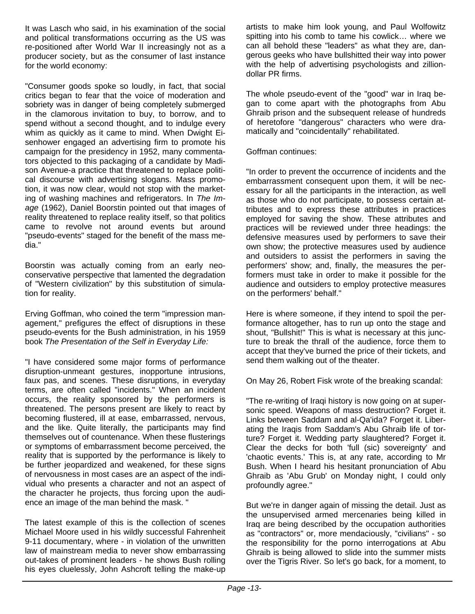It was Lasch who said, in his examination of the social and political transformations occurring as the US was re-positioned after World War II increasingly not as a producer society, but as the consumer of last instance for the world economy:

"Consumer goods spoke so loudly, in fact, that social critics began to fear that the voice of moderation and sobriety was in danger of being completely submerged in the clamorous invitation to buy, to borrow, and to spend without a second thought, and to indulge every whim as quickly as it came to mind. When Dwight Eisenhower engaged an advertising firm to promote his campaign for the presidency in 1952, many commentators objected to this packaging of a candidate by Madison Avenue-a practice that threatened to replace political discourse with advertising slogans. Mass promotion, it was now clear, would not stop with the marketing of washing machines and refrigerators. In *The Image* (1962), Daniel Boorstin pointed out that images of reality threatened to replace reality itself, so that politics came to revolve not around events but around "pseudo-events" staged for the benefit of the mass media."

Boorstin was actually coming from an early neoconservative perspective that lamented the degradation of "Western civilization" by this substitution of simulation for reality.

Erving Goffman, who coined the term "impression management," prefigures the effect of disruptions in these pseudo-events for the Bush administration, in his 1959 book *The Presentation of the Self in Everyday Life:*

"I have considered some major forms of performance disruption-unmeant gestures, inopportune intrusions, faux pas, and scenes. These disruptions, in everyday terms, are often called "incidents." When an incident occurs, the reality sponsored by the performers is threatened. The persons present are likely to react by becoming flustered, ill at ease, embarrassed, nervous, and the like. Quite literally, the participants may find themselves out of countenance. When these flusterings or symptoms of embarrassment become perceived, the reality that is supported by the performance is likely to be further jeopardized and weakened, for these signs of nervousness in most cases are an aspect of the individual who presents a character and not an aspect of the character he projects, thus forcing upon the audience an image of the man behind the mask. "

The latest example of this is the collection of scenes Michael Moore used in his wildly successful Fahrenheit 9-11 documentary, where - in violation of the unwritten law of mainstream media to never show embarrassing out-takes of prominent leaders - he shows Bush rolling his eyes cluelessly, John Ashcroft telling the make-up artists to make him look young, and Paul Wolfowitz spitting into his comb to tame his cowlick… where we can all behold these "leaders" as what they are, dangerous geeks who have bullshitted their way into power with the help of advertising psychologists and zilliondollar PR firms.

The whole pseudo-event of the "good" war in Iraq began to come apart with the photographs from Abu Ghraib prison and the subsequent release of hundreds of heretofore "dangerous" characters who were dramatically and "coincidentally" rehabilitated.

#### Goffman continues:

"In order to prevent the occurrence of incidents and the embarrassment consequent upon them, it will be necessary for all the participants in the interaction, as well as those who do not participate, to possess certain attributes and to express these attributes in practices employed for saving the show. These attributes and practices will be reviewed under three headings: the defensive measures used by performers to save their own show; the protective measures used by audience and outsiders to assist the performers in saving the performers' show; and, finally, the measures the performers must take in order to make it possible for the audience and outsiders to employ protective measures on the performers' behalf."

Here is where someone, if they intend to spoil the performance altogether, has to run up onto the stage and shout, "Bullshit!" This is what is necessary at this juncture to break the thrall of the audience, force them to accept that they've burned the price of their tickets, and send them walking out of the theater.

On May 26, Robert Fisk wrote of the breaking scandal:

"The re-writing of Iraqi history is now going on at supersonic speed. Weapons of mass destruction? Forget it. Links between Saddam and al-Qa'ida? Forget it. Liberating the Iraqis from Saddam's Abu Ghraib life of torture? Forget it. Wedding party slaughtered? Forget it. Clear the decks for both 'full (sic) sovereignty' and 'chaotic events.' This is, at any rate, according to Mr Bush. When I heard his hesitant pronunciation of Abu Ghraib as 'Abu Grub' on Monday night, I could only profoundly agree."

But we're in danger again of missing the detail. Just as the unsupervised armed mercenaries being killed in Iraq are being described by the occupation authorities as "contractors" or, more mendaciously, "civilians" - so the responsibility for the porno interrogations at Abu Ghraib is being allowed to slide into the summer mists over the Tigris River. So let's go back, for a moment, to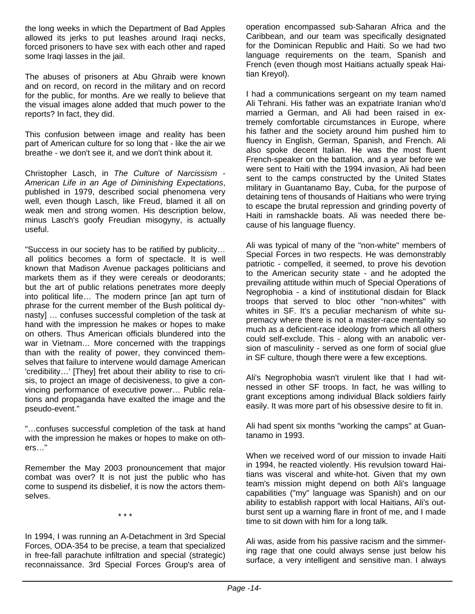the long weeks in which the Department of Bad Apples allowed its jerks to put leashes around Iraqi necks, forced prisoners to have sex with each other and raped some Iraqi lasses in the jail.

The abuses of prisoners at Abu Ghraib were known and on record, on record in the military and on record for the public, for months. Are we really to believe that the visual images alone added that much power to the reports? In fact, they did.

This confusion between image and reality has been part of American culture for so long that - like the air we breathe - we don't see it, and we don't think about it.

Christopher Lasch, in *The Culture of Narcissism - American Life in an Age of Diminishing Expectations*, published in 1979, described social phenomena very well, even though Lasch, like Freud, blamed it all on weak men and strong women. His description below, minus Lasch's goofy Freudian misogyny, is actually useful.

"Success in our society has to be ratified by publicity… all politics becomes a form of spectacle. It is well known that Madison Avenue packages politicians and markets them as if they were cereals or deodorants; but the art of public relations penetrates more deeply into political life… The modern prince [an apt turn of phrase for the current member of the Bush political dynasty] … confuses successful completion of the task at hand with the impression he makes or hopes to make on others. Thus American officials blundered into the war in Vietnam… More concerned with the trappings than with the reality of power, they convinced themselves that failure to intervene would damage American 'credibility…' [They] fret about their ability to rise to crisis, to project an image of decisiveness, to give a convincing performance of executive power… Public relations and propaganda have exalted the image and the pseudo-event."

"…confuses successful completion of the task at hand with the impression he makes or hopes to make on others…"

Remember the May 2003 pronouncement that major combat was over? It is not just the public who has come to suspend its disbelief, it is now the actors themselves.

\* \* \*

In 1994, I was running an A-Detachment in 3rd Special Forces, ODA-354 to be precise, a team that specialized in free-fall parachute infiltration and special (strategic) reconnaissance. 3rd Special Forces Group's area of operation encompassed sub-Saharan Africa and the Caribbean, and our team was specifically designated for the Dominican Republic and Haiti. So we had two language requirements on the team, Spanish and French (even though most Haitians actually speak Haitian Kreyol).

I had a communications sergeant on my team named Ali Tehrani. His father was an expatriate Iranian who'd married a German, and Ali had been raised in extremely comfortable circumstances in Europe, where his father and the society around him pushed him to fluency in English, German, Spanish, and French. Ali also spoke decent Italian. He was the most fluent French-speaker on the battalion, and a year before we were sent to Haiti with the 1994 invasion, Ali had been sent to the camps constructed by the United States military in Guantanamo Bay, Cuba, for the purpose of detaining tens of thousands of Haitians who were trying to escape the brutal repression and grinding poverty of Haiti in ramshackle boats. Ali was needed there because of his language fluency.

Ali was typical of many of the "non-white" members of Special Forces in two respects. He was demonstrably patriotic - compelled, it seemed, to prove his devotion to the American security state - and he adopted the prevailing attitude within much of Special Operations of Negrophobia - a kind of institutional disdain for Black troops that served to bloc other "non-whites" with whites in SF. It's a peculiar mechanism of white supremacy where there is not a master-race mentality so much as a deficient-race ideology from which all others could self-exclude. This - along with an anabolic version of masculinity - served as one form of social glue in SF culture, though there were a few exceptions.

Ali's Negrophobia wasn't virulent like that I had witnessed in other SF troops. In fact, he was willing to grant exceptions among individual Black soldiers fairly easily. It was more part of his obsessive desire to fit in.

Ali had spent six months "working the camps" at Guantanamo in 1993.

When we received word of our mission to invade Haiti in 1994, he reacted violently. His revulsion toward Haitians was visceral and white-hot. Given that my own team's mission might depend on both Ali's language capabilities ("my" language was Spanish) and on our ability to establish rapport with local Haitians, Ali's outburst sent up a warning flare in front of me, and I made time to sit down with him for a long talk.

Ali was, aside from his passive racism and the simmering rage that one could always sense just below his surface, a very intelligent and sensitive man. I always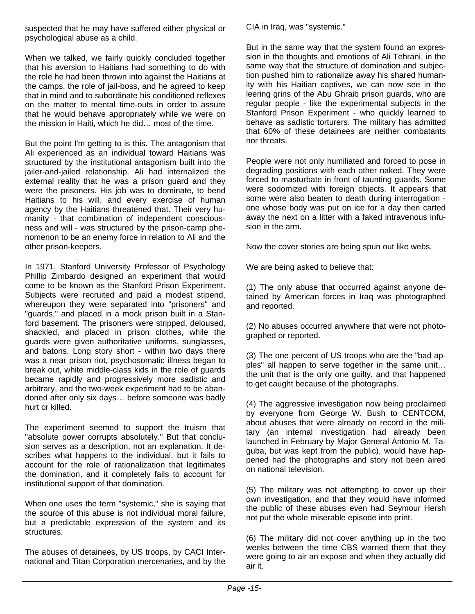suspected that he may have suffered either physical or psychological abuse as a child.

When we talked, we fairly quickly concluded together that his aversion to Haitians had something to do with the role he had been thrown into against the Haitians at the camps, the role of jail-boss, and he agreed to keep that in mind and to subordinate his conditioned reflexes on the matter to mental time-outs in order to assure that he would behave appropriately while we were on the mission in Haiti, which he did… most of the time.

But the point I'm getting to is this. The antagonism that Ali experienced as an individual toward Haitians was structured by the institutional antagonism built into the jailer-and-jailed relationship. Ali had internalized the external reality that he was a prison guard and they were the prisoners. His job was to dominate, to bend Haitians to his will, and every exercise of human agency by the Haitians threatened that. Their very humanity - that combination of independent consciousness and will - was structured by the prison-camp phenomenon to be an enemy force in relation to Ali and the other prison-keepers.

In 1971, Stanford University Professor of Psychology Phillip Zimbardo designed an experiment that would come to be known as the Stanford Prison Experiment. Subjects were recruited and paid a modest stipend, whereupon they were separated into "prisoners" and "guards," and placed in a mock prison built in a Stanford basement. The prisoners were stripped, deloused, shackled, and placed in prison clothes, while the guards were given authoritative uniforms, sunglasses, and batons. Long story short - within two days there was a near prison riot, psychosomatic illness began to break out, white middle-class kids in the role of guards became rapidly and progressively more sadistic and arbitrary, and the two-week experiment had to be abandoned after only six days… before someone was badly hurt or killed.

The experiment seemed to support the truism that "absolute power corrupts absolutely." But that conclusion serves as a description, not an explanation. It describes what happens to the individual, but it fails to account for the role of rationalization that legitimates the domination, and it completely fails to account for institutional support of that domination.

When one uses the term "systemic," she is saying that the source of this abuse is not individual moral failure, but a predictable expression of the system and its structures.

The abuses of detainees, by US troops, by CACI International and Titan Corporation mercenaries, and by the CIA in Iraq, was "systemic."

But in the same way that the system found an expression in the thoughts and emotions of Ali Tehrani, in the same way that the structure of domination and subjection pushed him to rationalize away his shared humanity with his Haitian captives, we can now see in the leering grins of the Abu Ghraib prison guards, who are regular people - like the experimental subjects in the Stanford Prison Experiment - who quickly learned to behave as sadistic torturers. The military has admitted that 60% of these detainees are neither combatants nor threats.

People were not only humiliated and forced to pose in degrading positions with each other naked. They were forced to masturbate in front of taunting guards. Some were sodomized with foreign objects. It appears that some were also beaten to death during interrogation one whose body was put on ice for a day then carted away the next on a litter with a faked intravenous infusion in the arm.

Now the cover stories are being spun out like webs.

We are being asked to believe that:

(1) The only abuse that occurred against anyone detained by American forces in Iraq was photographed and reported.

(2) No abuses occurred anywhere that were not photographed or reported.

(3) The one percent of US troops who are the "bad apples" all happen to serve together in the same unit… the unit that is the only one guilty, and that happened to get caught because of the photographs.

(4) The aggressive investigation now being proclaimed by everyone from George W. Bush to CENTCOM, about abuses that were already on record in the military (an internal investigation had already been launched in February by Major General Antonio M. Taguba, but was kept from the public), would have happened had the photographs and story not been aired on national television.

(5) The military was not attempting to cover up their own investigation, and that they would have informed the public of these abuses even had Seymour Hersh not put the whole miserable episode into print.

(6) The military did not cover anything up in the two weeks between the time CBS warned them that they were going to air an expose and when they actually did air it.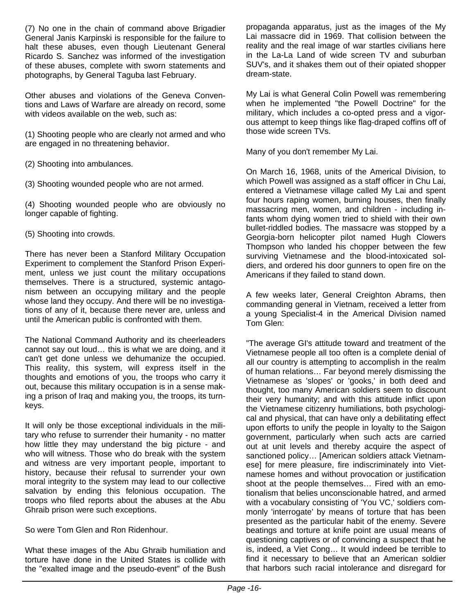(7) No one in the chain of command above Brigadier General Janis Karpinski is responsible for the failure to halt these abuses, even though Lieutenant General Ricardo S. Sanchez was informed of the investigation of these abuses, complete with sworn statements and photographs, by General Taguba last February.

Other abuses and violations of the Geneva Conventions and Laws of Warfare are already on record, some with videos available on the web, such as:

(1) Shooting people who are clearly not armed and who are engaged in no threatening behavior.

(2) Shooting into ambulances.

(3) Shooting wounded people who are not armed.

(4) Shooting wounded people who are obviously no longer capable of fighting.

(5) Shooting into crowds.

There has never been a Stanford Military Occupation Experiment to complement the Stanford Prison Experiment, unless we just count the military occupations themselves. There is a structured, systemic antagonism between an occupying military and the people whose land they occupy. And there will be no investigations of any of it, because there never are, unless and until the American public is confronted with them.

The National Command Authority and its cheerleaders cannot say out loud… this is what we are doing, and it can't get done unless we dehumanize the occupied. This reality, this system, will express itself in the thoughts and emotions of you, the troops who carry it out, because this military occupation is in a sense making a prison of Iraq and making you, the troops, its turnkeys.

It will only be those exceptional individuals in the military who refuse to surrender their humanity - no matter how little they may understand the big picture - and who will witness. Those who do break with the system and witness are very important people, important to history, because their refusal to surrender your own moral integrity to the system may lead to our collective salvation by ending this felonious occupation. The troops who filed reports about the abuses at the Abu Ghraib prison were such exceptions.

So were Tom Glen and Ron Ridenhour.

What these images of the Abu Ghraib humiliation and torture have done in the United States is collide with the "exalted image and the pseudo-event" of the Bush propaganda apparatus, just as the images of the My Lai massacre did in 1969. That collision between the reality and the real image of war startles civilians here in the La-La Land of wide screen TV and suburban SUV's, and it shakes them out of their opiated shopper dream-state.

My Lai is what General Colin Powell was remembering when he implemented "the Powell Doctrine" for the military, which includes a co-opted press and a vigorous attempt to keep things like flag-draped coffins off of those wide screen TVs.

Many of you don't remember My Lai.

On March 16, 1968, units of the Americal Division, to which Powell was assigned as a staff officer in Chu Lai, entered a Vietnamese village called My Lai and spent four hours raping women, burning houses, then finally massacring men, women, and children - including infants whom dying women tried to shield with their own bullet-riddled bodies. The massacre was stopped by a Georgia-born helicopter pilot named Hugh Clowers Thompson who landed his chopper between the few surviving Vietnamese and the blood-intoxicated soldiers, and ordered his door gunners to open fire on the Americans if they failed to stand down.

A few weeks later, General Creighton Abrams, then commanding general in Vietnam, received a letter from a young Specialist-4 in the Americal Division named Tom Glen:

"The average GI's attitude toward and treatment of the Vietnamese people all too often is a complete denial of all our country is attempting to accomplish in the realm of human relations… Far beyond merely dismissing the Vietnamese as 'slopes' or 'gooks,' in both deed and thought, too many American soldiers seem to discount their very humanity; and with this attitude inflict upon the Vietnamese citizenry humiliations, both psychological and physical, that can have only a debilitating effect upon efforts to unify the people in loyalty to the Saigon government, particularly when such acts are carried out at unit levels and thereby acquire the aspect of sanctioned policy… [American soldiers attack Vietnamese] for mere pleasure, fire indiscriminately into Vietnamese homes and without provocation or justification shoot at the people themselves… Fired with an emotionalism that belies unconscionable hatred, and armed with a vocabulary consisting of 'You VC,' soldiers commonly 'interrogate' by means of torture that has been presented as the particular habit of the enemy. Severe beatings and torture at knife point are usual means of questioning captives or of convincing a suspect that he is, indeed, a Viet Cong… It would indeed be terrible to find it necessary to believe that an American soldier that harbors such racial intolerance and disregard for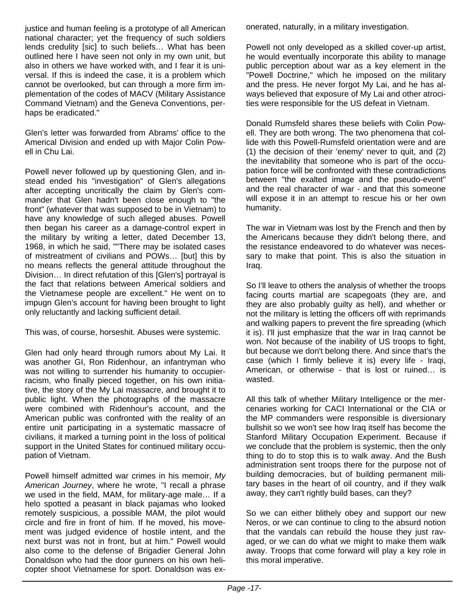justice and human feeling is a prototype of all American national character; yet the frequency of such soldiers lends credulity [sic] to such beliefs… What has been outlined here I have seen not only in my own unit, but also in others we have worked with, and I fear it is universal. If this is indeed the case, it is a problem which cannot be overlooked, but can through a more firm implementation of the codes of MACV (Military Assistance Command Vietnam) and the Geneva Conventions, perhaps be eradicated."

Glen's letter was forwarded from Abrams' office to the Americal Division and ended up with Major Colin Powell in Chu Lai.

Powell never followed up by questioning Glen, and instead ended his "investigation" of Glen's allegations after accepting uncritically the claim by Glen's commander that Glen hadn't been close enough to "the front" (whatever that was supposed to be in Vietnam) to have any knowledge of such alleged abuses. Powell then began his career as a damage-control expert in the military by writing a letter, dated December 13, 1968, in which he said, ""There may be isolated cases of mistreatment of civilians and POWs… [but] this by no means reflects the general attitude throughout the Division… In direct refutation of this [Glen's] portrayal is the fact that relations between Americal soldiers and the Vietnamese people are excellent." He went on to impugn Glen's account for having been brought to light only reluctantly and lacking sufficient detail.

This was, of course, horseshit. Abuses were systemic.

Glen had only heard through rumors about My Lai. It was another GI, Ron Ridenhour, an infantryman who was not willing to surrender his humanity to occupierracism, who finally pieced together, on his own initiative, the story of the My Lai massacre, and brought it to public light. When the photographs of the massacre were combined with Ridenhour's account, and the American public was confronted with the reality of an entire unit participating in a systematic massacre of civilians, it marked a turning point in the loss of political support in the United States for continued military occupation of Vietnam.

Powell himself admitted war crimes in his memoir, *My American Journey*, where he wrote, "I recall a phrase we used in the field, MAM, for military-age male… If a helo spotted a peasant in black pajamas who looked remotely suspicious, a possible MAM, the pilot would circle and fire in front of him. If he moved, his movement was judged evidence of hostile intent, and the next burst was not in front, but at him." Powell would also come to the defense of Brigadier General John Donaldson who had the door gunners on his own helicopter shoot Vietnamese for sport. Donaldson was exonerated, naturally, in a military investigation.

Powell not only developed as a skilled cover-up artist, he would eventually incorporate this ability to manage public perception about war as a key element in the "Powell Doctrine," which he imposed on the military and the press. He never forgot My Lai, and he has always believed that exposure of My Lai and other atrocities were responsible for the US defeat in Vietnam.

Donald Rumsfeld shares these beliefs with Colin Powell. They are both wrong. The two phenomena that collide with this Powell-Rumsfeld orientation were and are (1) the decision of their 'enemy' never to quit, and (2) the inevitability that someone who is part of the occupation force will be confronted with these contradictions between "the exalted image and the pseudo-event" and the real character of war - and that this someone will expose it in an attempt to rescue his or her own humanity.

The war in Vietnam was lost by the French and then by the Americans because they didn't belong there, and the resistance endeavored to do whatever was necessary to make that point. This is also the situation in Iraq.

So I'll leave to others the analysis of whether the troops facing courts martial are scapegoats (they are, and they are also probably guilty as hell), and whether or not the military is letting the officers off with reprimands and walking papers to prevent the fire spreading (which it is). I'll just emphasize that the war in Iraq cannot be won. Not because of the inability of US troops to fight, but because we don't belong there. And since that's the case (which I firmly believe it is) every life - Iraqi, American, or otherwise - that is lost or ruined… is wasted.

All this talk of whether Military Intelligence or the mercenaries working for CACI International or the CIA or the MP commanders were responsible is diversionary bullshit so we won't see how Iraq itself has become the Stanford Military Occupation Experiment. Because if we conclude that the problem is systemic, then the only thing to do to stop this is to walk away. And the Bush administration sent troops there for the purpose not of building democracies, but of building permanent military bases in the heart of oil country, and if they walk away, they can't rightly build bases, can they?

So we can either blithely obey and support our new Neros, or we can continue to cling to the absurd notion that the vandals can rebuild the house they just ravaged, or we can do what we might to make them walk away. Troops that come forward will play a key role in this moral imperative.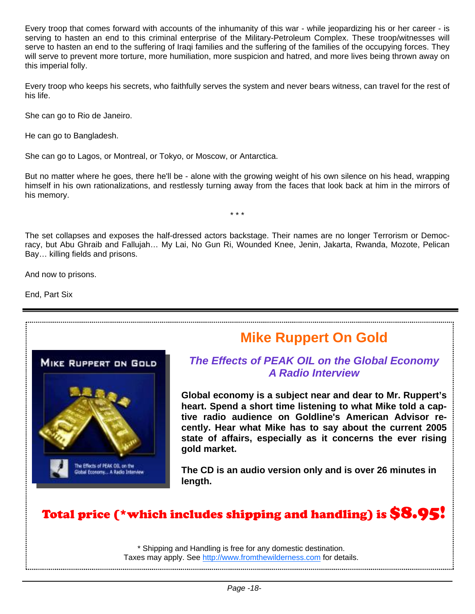Every troop that comes forward with accounts of the inhumanity of this war - while jeopardizing his or her career - is serving to hasten an end to this criminal enterprise of the Military-Petroleum Complex. These troop/witnesses will serve to hasten an end to the suffering of Iraqi families and the suffering of the families of the occupying forces. They will serve to prevent more torture, more humiliation, more suspicion and hatred, and more lives being thrown away on this imperial folly.

Every troop who keeps his secrets, who faithfully serves the system and never bears witness, can travel for the rest of his life.

She can go to Rio de Janeiro.

He can go to Bangladesh.

She can go to Lagos, or Montreal, or Tokyo, or Moscow, or Antarctica.

But no matter where he goes, there he'll be - alone with the growing weight of his own silence on his head, wrapping himself in his own rationalizations, and restlessly turning away from the faces that look back at him in the mirrors of his memory.

\* \* \*

The set collapses and exposes the half-dressed actors backstage. Their names are no longer Terrorism or Democracy, but Abu Ghraib and Fallujah… My Lai, No Gun Ri, Wounded Knee, Jenin, Jakarta, Rwanda, Mozote, Pelican Bay… killing fields and prisons.

And now to prisons.

End, Part Six



# **Mike Ruppert On Gold**

## *The Effects of PEAK OIL on the Global Economy A Radio Interview*

**Global economy is a subject near and dear to Mr. Ruppert's heart. Spend a short time listening to what Mike told a captive radio audience on Goldline's American Advisor recently. Hear what Mike has to say about the current 2005 state of affairs, especially as it concerns the ever rising gold market.** 

**The CD is an audio version only and is over 26 minutes in length.**

# Total price (\*which includes shipping and handling) is \$8.95!

\* Shipping and Handling is free for any domestic destination. Taxes may apply. See http://www.fromthewilderness.com for details.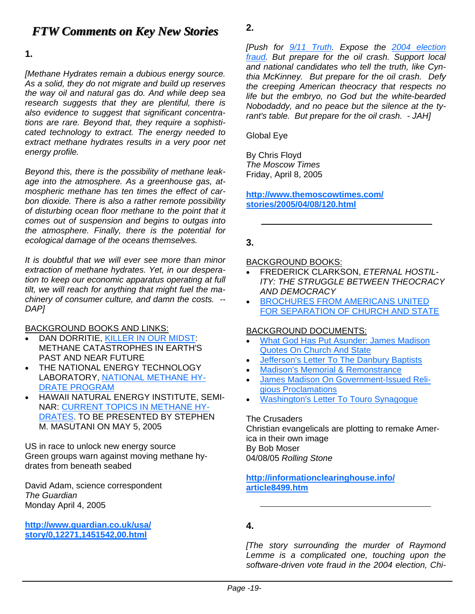# *FTW Comments on Key New Stories FTW Comments on New Stories*

**1.** 

*[Methane Hydrates remain a dubious energy source. As a solid, they do not migrate and build up reserves the way oil and natural gas do. And while deep sea research suggests that they are plentiful, there is also evidence to suggest that significant concentrations are rare. Beyond that, they require a sophisticated technology to extract. The energy needed to extract methane hydrates results in a very poor net energy profile.* 

*Beyond this, there is the possibility of methane leakage into the atmosphere. As a greenhouse gas, atmospheric methane has ten times the effect of carbon dioxide. There is also a rather remote possibility of disturbing ocean floor methane to the point that it comes out of suspension and begins to outgas into the atmosphere. Finally, there is the potential for ecological damage of the oceans themselves.* 

*It is doubtful that we will ever see more than minor extraction of methane hydrates. Yet, in our desperation to keep our economic apparatus operating at full tilt, we will reach for anything that might fuel the machinery of consumer culture, and damn the costs. -- DAP]* 

BACKGROUND BOOKS AND LINKS:

- DAN DORRITIE, KILLER IN OUR MIDST: METHANE CATASTROPHES IN EARTH'S PAST AND NEAR FUTURE
- THE NATIONAL ENERGY TECHNOLOGY LABORATORY, NATIONAL METHANE HY-DRATE PROGRAM
- HAWAII NATURAL ENERGY INSTITUTE, SEMI-NAR: CURRENT TOPICS IN METHANE HY-DRATES. TO BE PRESENTED BY STEPHEN M. MASUTANI ON MAY 5, 2005

US in race to unlock new energy source Green groups warn against moving methane hydrates from beneath seabed

David Adam, science correspondent *The Guardian*  Monday April 4, 2005

**http://www.guardian.co.uk/usa/ story/0,12271,1451542,00.html**

*[Push for 9/11 Truth. Expose the 2004 election fraud. But prepare for the oil crash. Support local and national candidates who tell the truth, like Cynthia McKinney. But prepare for the oil crash. Defy the creeping American theocracy that respects no life but the embryo, no God but the white-bearded Nobodaddy, and no peace but the silence at the tyrant's table. But prepare for the oil crash. - JAH]* 

Global Eye

**2.** 

By Chris Floyd *The Moscow Times*  Friday, April 8, 2005

**http://www.themoscowtimes.com/ stories/2005/04/08/120.html**

### **3.**

#### BACKGROUND BOOKS:

- FREDERICK CLARKSON, *ETERNAL HOSTIL-ITY: THE STRUGGLE BETWEEN THEOCRACY AND DEMOCRACY*
- BROCHURES FROM AMERICANS UNITED FOR SEPARATION OF CHURCH AND STATE

#### BACKGROUND DOCUMENTS:

- What God Has Put Asunder: James Madison Quotes On Church And State
- Jefferson's Letter To The Danbury Baptists
- Madison's Memorial & Remonstrance
- James Madison On Government-Issued Religious Proclamations
- Washington's Letter To Touro Synagogue

The Crusaders Christian evangelicals are plotting to remake America in their own image By Bob Moser 04/08/05 *Rolling Stone*

#### **http://informationclearinghouse.info/ article8499.htm**

### **4.**

*[The story surrounding the murder of Raymond Lemme is a complicated one, touching upon the software-driven vote fraud in the 2004 election, Chi-*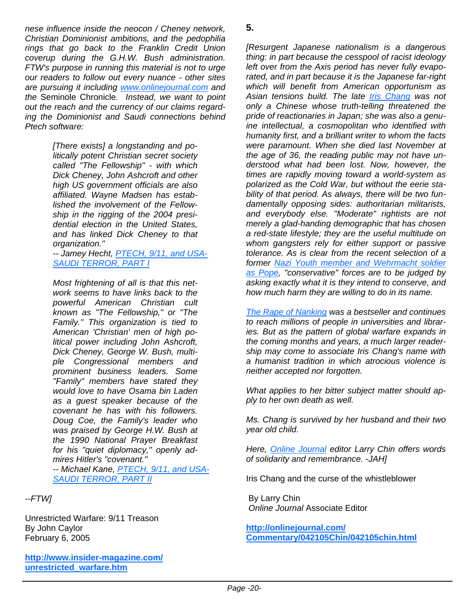*nese influence inside the neocon / Cheney network, Christian Dominionist ambitions, and the pedophilia rings that go back to the Franklin Credit Union coverup during the G.H.W. Bush administration. FTW's purpose in running this material is not to urge our readers to follow out every nuance - other sites are pursuing it including www.onlinejournal.com and the* Seminole Chronicle*. Instead, we want to point out the reach and the currency of our claims regarding the Dominionist and Saudi connections behind Ptech software:*

> *[There exists] a longstanding and politically potent Christian secret society called "The Fellowship" - with which Dick Cheney, John Ashcroft and other high US government officials are also affiliated. Wayne Madsen has established the involvement of the Fellowship in the rigging of the 2004 presidential election in the United States, and has linked Dick Cheney to that organization."*

*-- Jamey Hecht, PTECH, 9/11, and USA-SAUDI TERROR, PART I*

*Most frightening of all is that this network seems to have links back to the powerful American Christian cult known as "The Fellowship," or "The Family." This organization is tied to American 'Christian' men of high political power including John Ashcroft, Dick Cheney, George W. Bush, multiple Congressional members and prominent business leaders. Some "Family" members have stated they would love to have Osama bin Laden as a guest speaker because of the covenant he has with his followers. Doug Coe, the Family's leader who was praised by George H.W. Bush at the 1990 National Prayer Breakfast for his "quiet diplomacy," openly admires Hitler's "covenant." -- Michael Kane, PTECH, 9/11, and USA-SAUDI TERROR, PART II*

*--FTW]* 

Unrestricted Warfare: 9/11 Treason By John Caylor February 6, 2005

**http://www.insider-magazine.com/ unrestricted\_warfare.htm**

*[Resurgent Japanese nationalism is a dangerous thing: in part because the cesspool of racist ideology left over from the Axis period has never fully evaporated, and in part because it is the Japanese far-right which will benefit from American opportunism as Asian tensions build. The late Iris Chang was not only a Chinese whose truth-telling threatened the pride of reactionaries in Japan; she was also a genuine intellectual, a cosmopolitan who identified with humanity first, and a brilliant writer to whom the facts were paramount. When she died last November at the age of 36, the reading public may not have understood what had been lost. Now, however, the times are rapidly moving toward a world-system as polarized as the Cold War, but without the eerie stability of that period. As always, there will be two fundamentally opposing sides: authoritarian militarists, and everybody else. "Moderate" rightists are not merely a glad-handing demographic that has chosen a red-state lifestyle; they are the useful multitude on whom gangsters rely for either support or passive tolerance. As is clear from the recent selection of a former Nazi Youth member and Wehrmacht soldier as Pope, "conservative" forces are to be judged by asking exactly what it is they intend to conserve, and how much harm they are willing to do in its name.* 

*The Rape of Nanking was a bestseller and continues to reach millions of people in universities and libraries. But as the pattern of global warfare expands in the coming months and years, a much larger readership may come to associate Iris Chang's name with a humanist tradition in which atrocious violence is neither accepted nor forgotten.* 

*What applies to her bitter subject matter should apply to her own death as well.* 

*Ms. Chang is survived by her husband and their two year old child.* 

*Here, Online Journal editor Larry Chin offers words of solidarity and remembrance. -JAH]* 

Iris Chang and the curse of the whistleblower

 By Larry Chin  *Online Journal* Associate Editor

**http://onlinejournal.com/ Commentary/042105Chin/042105chin.html**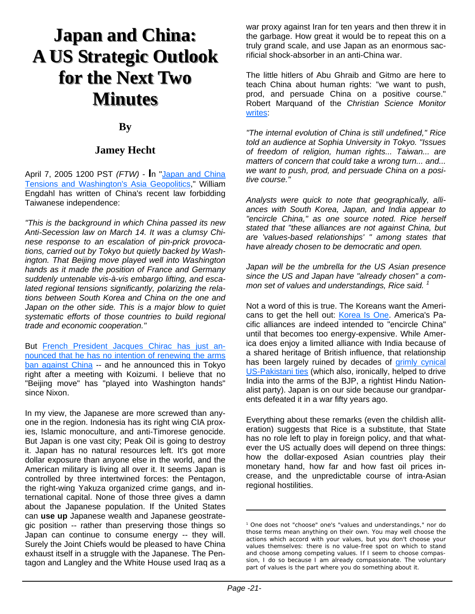# **Japan and China: A US Strategic Outlook A US Strategic Outlook for the Next Two for the Next Two Minutes Minutes**

### **By**

### **Jamey Hecht**

April 7, 2005 1200 PST *(FTW)* - **I**n "Japan and China Tensions and Washington's Asia Geopolitics," William Engdahl has written of China's recent law forbidding Taiwanese independence:

*"This is the background in which China passed its new Anti-Secession law on March 14. It was a clumsy Chinese response to an escalation of pin-prick provocations, carried out by Tokyo but quietly backed by Washington. That Beijing move played well into Washington hands as it made the position of France and Germany suddenly untenable vis-à-vis embargo lifting, and escalated regional tensions significantly, polarizing the relations between South Korea and China on the one and Japan on the other side. This is a major blow to quiet systematic efforts of those countries to build regional trade and economic cooperation."*

But French President Jacques Chirac has just announced that he has no intention of renewing the arms ban against China -- and he announced this in Tokyo right after a meeting with Koizumi. I believe that no "Beijing move" has "played into Washington hands" since Nixon.

In my view, the Japanese are more screwed than anyone in the region. Indonesia has its right wing CIA proxies, Islamic monoculture, and anti-Timorese genocide. But Japan is one vast city; Peak Oil is going to destroy it. Japan has no natural resources left. It's got more dollar exposure than anyone else in the world, and the American military is living all over it. It seems Japan is controlled by three intertwined forces: the Pentagon, the right-wing Yakuza organized crime gangs, and international capital. None of those three gives a damn about the Japanese population. If the United States can **use up** Japanese wealth and Japanese geostrategic position -- rather than preserving those things so Japan can continue to consume energy -- they will. Surely the Joint Chiefs would be pleased to have China exhaust itself in a struggle with the Japanese. The Pentagon and Langley and the White House used Iraq as a war proxy against Iran for ten years and then threw it in the garbage. How great it would be to repeat this on a truly grand scale, and use Japan as an enormous sacrificial shock-absorber in an anti-China war.

The little hitlers of Abu Ghraib and Gitmo are here to teach China about human rights: "we want to push, prod, and persuade China on a positive course." Robert Marquand of the *Christian Science Monitor* writes:

*"The internal evolution of China is still undefined," Rice told an audience at Sophia University in Tokyo. "Issues of freedom of religion, human rights... Taiwan... are matters of concern that could take a wrong turn... and... we want to push, prod, and persuade China on a positive course."*

*Analysts were quick to note that geographically, alliances with South Korea, Japan, and India appear to "encircle China," as one source noted. Rice herself stated that "these alliances are not against China, but are 'values-based relationships' " among states that have already chosen to be democratic and open.*

*Japan will be the umbrella for the US Asian presence since the US and Japan have "already chosen" a common set of values and understandings, Rice said. 1*

Not a word of this is true. The Koreans want the Americans to get the hell out: Korea Is One. America's Pacific alliances are indeed intended to "encircle China" until that becomes too energy-expensive. While America does enjoy a limited alliance with India because of a shared heritage of British influence, that relationship has been largely ruined by decades of grimly cynical US-Pakistani ties (which also, ironically, helped to drive India into the arms of the BJP, a rightist Hindu Nationalist party). Japan is on our side because our grandparents defeated it in a war fifty years ago.

Everything about these remarks (even the childish alliteration) suggests that Rice is a substitute, that State has no role left to play in foreign policy, and that whatever the US actually does will depend on three things: how the dollar-exposed Asian countries play their monetary hand, how far and how fast oil prices increase, and the unpredictable course of intra-Asian regional hostilities.

<sup>1</sup> One does not "choose" one's "values and understandings," nor do those terms mean anything on their own. You may well choose the actions which accord with your values, but you don't choose your values themselves: there is no value-free spot on which to stand and choose among competing values. If I seem to choose compassion, I do so because I am already compassionate. The voluntary part of values is the part where you do something about it.